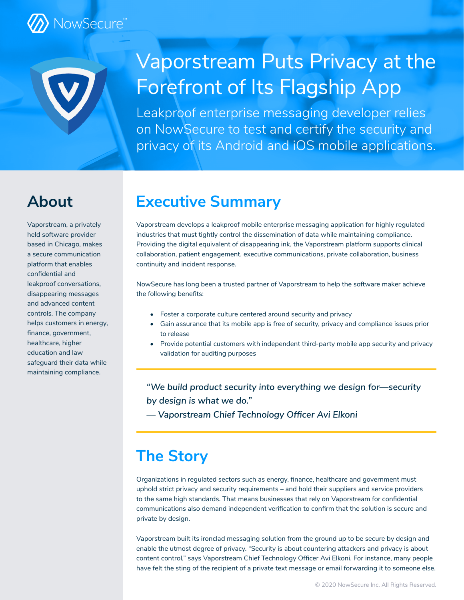

## Vaporstream Puts Privacy at the Forefront of Its Flagship App

Leakproof enterprise messaging developer relies on NowSecure to test and certify the security and privacy of its Android and iOS mobile applications.

## **About**

Vaporstream, a privately held software provider based in Chicago, makes a secure communication platform that enables confidential and leakproof conversations, disappearing messages and advanced content controls. The company helps customers in energy, finance, government, healthcare, higher education and law safeguard their data while maintaining compliance.

## **Executive Summary**

Vaporstream develops a leakproof mobile enterprise messaging application for highly regulated industries that must tightly control the dissemination of data while maintaining compliance. Providing the digital equivalent of disappearing ink, the Vaporstream platform supports clinical collaboration, patient engagement, executive communications, private collaboration, business continuity and incident response.

NowSecure has long been a trusted partner of Vaporstream to help the software maker achieve the following benefits:

- Foster a corporate culture centered around security and privacy
- Gain assurance that its mobile app is free of security, privacy and compliance issues prior to release
- Provide potential customers with independent third-party mobile app security and privacy validation for auditing purposes

*"We build product security into everything we design for—security by design is what we do."* 

*— Vaporstream Chief Technology Officer Avi Elkoni*

## **The Story**

Organizations in regulated sectors such as energy, finance, healthcare and government must uphold strict privacy and security requirements – and hold their suppliers and service providers to the same high standards. That means businesses that rely on Vaporstream for confidential communications also demand independent verification to confirm that the solution is secure and private by design.

Vaporstream built its ironclad messaging solution from the ground up to be secure by design and enable the utmost degree of privacy. "Security is about countering attackers and privacy is about content control," says Vaporstream Chief Technology Officer Avi Elkoni. For instance, many people have felt the sting of the recipient of a private text message or email forwarding it to someone else.